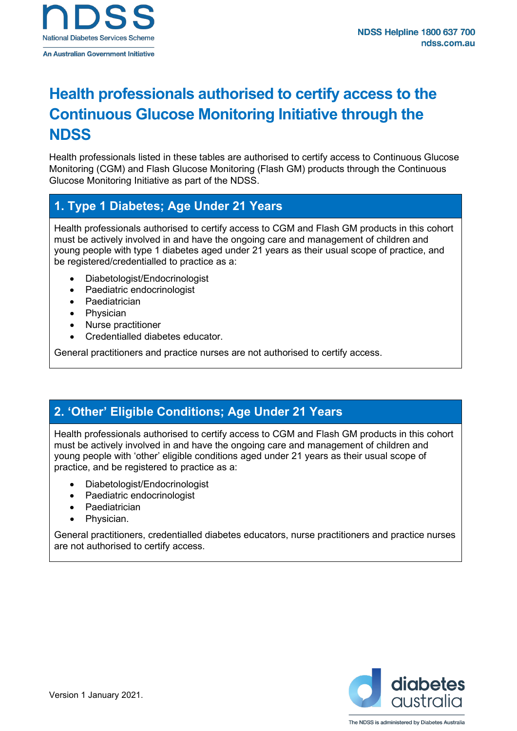

# **Health professionals authorised to certify access to the Continuous Glucose Monitoring Initiative through the NDSS**

Health professionals listed in these tables are authorised to certify access to Continuous Glucose Monitoring (CGM) and Flash Glucose Monitoring (Flash GM) products through the Continuous Glucose Monitoring Initiative as part of the NDSS.

## **1. Type 1 Diabetes; Age Under 21 Years**

Health professionals authorised to certify access to CGM and Flash GM products in this cohort must be actively involved in and have the ongoing care and management of children and young people with type 1 diabetes aged under 21 years as their usual scope of practice, and be registered/credentialled to practice as a:

- Diabetologist/Endocrinologist
- Paediatric endocrinologist
- **Paediatrician**
- **Physician**
- Nurse practitioner
- Credentialled diabetes educator.

General practitioners and practice nurses are not authorised to certify access.

# **2. 'Other' Eligible Conditions; Age Under 21 Years**

Health professionals authorised to certify access to CGM and Flash GM products in this cohort must be actively involved in and have the ongoing care and management of children and young people with 'other' eligible conditions aged under 21 years as their usual scope of practice, and be registered to practice as a:

- Diabetologist/Endocrinologist
- Paediatric endocrinologist
- **Paediatrician**
- Physician.

General practitioners, credentialled diabetes educators, nurse practitioners and practice nurses are not authorised to certify access.